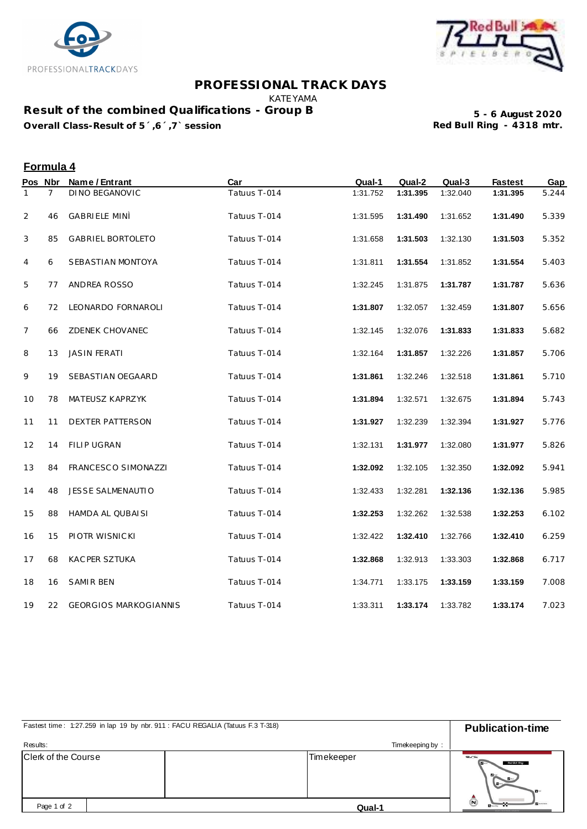



## **PROFESSIONAL TRACK DAYS**

KATEYAMA

**Result of the combined Qualifications - Group B Overall Class-Result of 5´,6´,7` session** 

**5 - 6 August 2020**

## **Formula 4**

|                | Pos Nbr        | Name / Entrant               | Car          | Qual-1   | Qual-2   | Qual-3   | <b>Fastest</b> | Gap   |
|----------------|----------------|------------------------------|--------------|----------|----------|----------|----------------|-------|
| 1              | $\overline{7}$ | <b>DINO BEGANOVIC</b>        | Tatuus T-014 | 1:31.752 | 1:31.395 | 1:32.040 | 1:31.395       | 5.244 |
| $\overline{2}$ | 46             | <b>GABRIELE MINÌ</b>         | Tatuus T-014 | 1:31.595 | 1:31.490 | 1:31.652 | 1:31.490       | 5.339 |
| 3              | 85             | GABRIEL BORTOLETO            | Tatuus T-014 | 1:31.658 | 1:31.503 | 1:32.130 | 1:31.503       | 5.352 |
| 4              | 6              | SEBASTIAN MONTOYA            | Tatuus T-014 | 1:31.811 | 1:31.554 | 1:31.852 | 1:31.554       | 5.403 |
| 5              | 77             | ANDREA ROSSO                 | Tatuus T-014 | 1:32.245 | 1:31.875 | 1:31.787 | 1:31.787       | 5.636 |
| 6              | 72             | LEONARDO FORNAROLI           | Tatuus T-014 | 1:31.807 | 1:32.057 | 1:32.459 | 1:31.807       | 5.656 |
| 7              | 66             | ZDENEK CHOVANEC              | Tatuus T-014 | 1:32.145 | 1:32.076 | 1:31.833 | 1:31.833       | 5.682 |
| 8              | 13             | <b>JASIN FERATI</b>          | Tatuus T-014 | 1:32.164 | 1:31.857 | 1:32.226 | 1:31.857       | 5.706 |
| 9              | 19             | SEBASTIAN OEGAARD            | Tatuus T-014 | 1:31.861 | 1:32.246 | 1:32.518 | 1:31.861       | 5.710 |
| 10             | 78             | MATEUSZ KAPRZYK              | Tatuus T-014 | 1:31.894 | 1:32.571 | 1:32.675 | 1:31.894       | 5.743 |
| 11             | 11             | DEXTER PATTERSON             | Tatuus T-014 | 1:31.927 | 1:32.239 | 1:32.394 | 1:31.927       | 5.776 |
| 12             | 14             | FILIP UGRAN                  | Tatuus T-014 | 1:32.131 | 1:31.977 | 1:32.080 | 1:31.977       | 5.826 |
| 13             | 84             | FRANCESCO SIMONAZZI          | Tatuus T-014 | 1:32.092 | 1:32.105 | 1:32.350 | 1:32.092       | 5.941 |
| 14             | 48             | JESSE SALMENAUTIO            | Tatuus T-014 | 1:32.433 | 1:32.281 | 1:32.136 | 1:32.136       | 5.985 |
| 15             | 88             | HAMDA AL QUBAISI             | Tatuus T-014 | 1:32.253 | 1:32.262 | 1:32.538 | 1:32.253       | 6.102 |
| 16             | 15             | PIOTR WISNICKI               | Tatuus T-014 | 1:32.422 | 1:32.410 | 1:32.766 | 1:32.410       | 6.259 |
| 17             | 68             | KAC PER SZTUKA               | Tatuus T-014 | 1:32.868 | 1:32.913 | 1:33.303 | 1:32.868       | 6.717 |
| 18             | 16             | <b>SAMIR BEN</b>             | Tatuus T-014 | 1:34.771 | 1:33.175 | 1:33.159 | 1:33.159       | 7.008 |
| 19             | 22             | <b>GEORGIOS MARKOGIANNIS</b> | Tatuus T-014 | 1:33.311 | 1:33.174 | 1:33.782 | 1:33.174       | 7.023 |

| Fastest time: 1:27.259 in lap 19 by nbr. 911 : FACU REGALIA (Tatuus F.3 T-318) | <b>Publication-time</b> |                                                |  |
|--------------------------------------------------------------------------------|-------------------------|------------------------------------------------|--|
| Results:                                                                       | Timekeeping by:         |                                                |  |
| <b>Clerk of the Course</b>                                                     | Timekeeper              | $-1$<br>Red Bull Ring<br>$B -$<br>$\mathbf{u}$ |  |
| Page 1 of 2                                                                    | Qual-1                  | $\left( n\right)$                              |  |